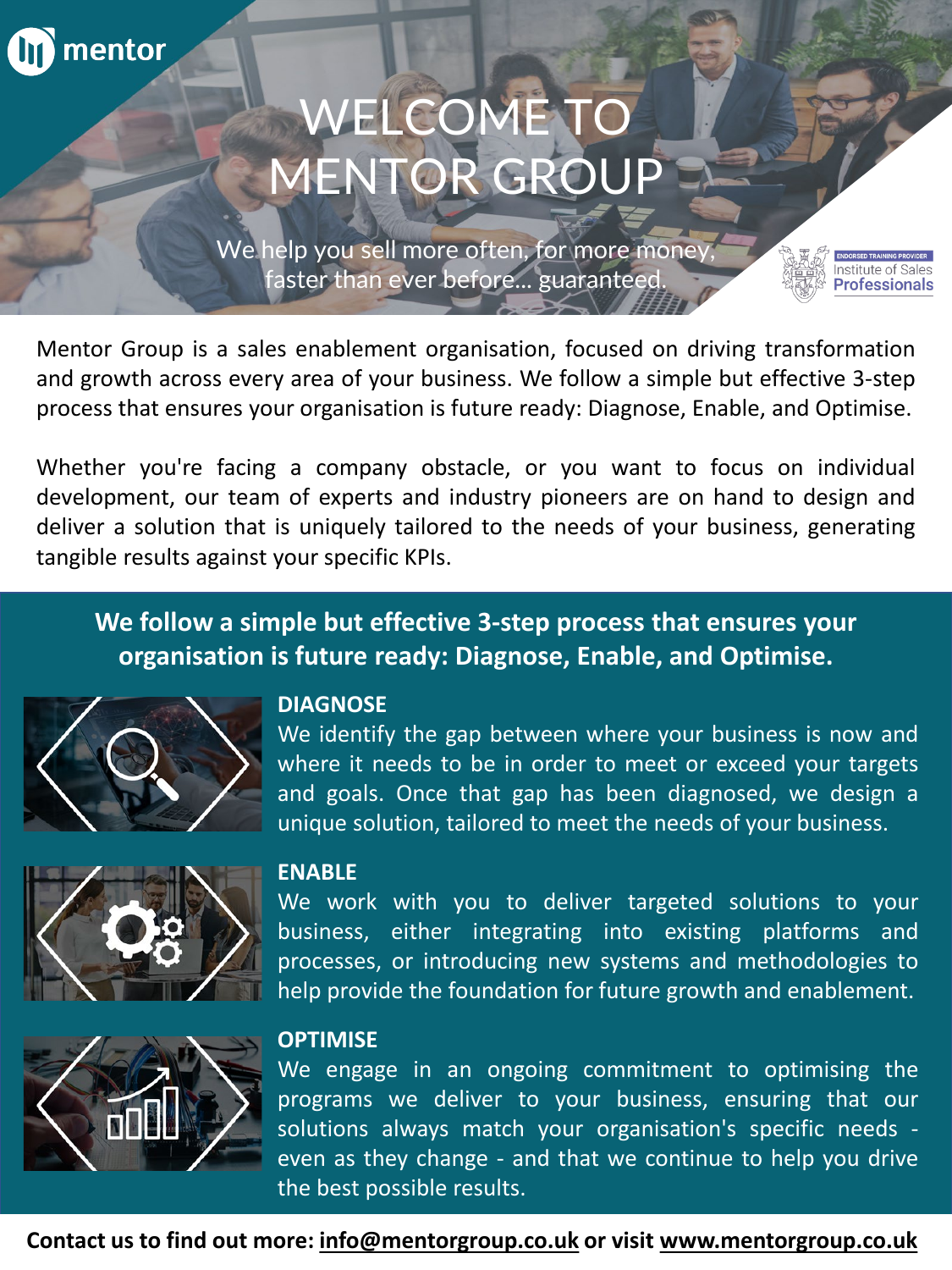

# WELCOME TO MENTOR GROUP

We help you sell more often, for more money, faster than ever before... guaranteed.

Mentor Group is a sales enablement organisation, focused on driving transformation and growth across every area of your business. We follow a simple but effective 3-step process that ensures your organisation is future ready: Diagnose, Enable, and Optimise.

Whether you're facing a company obstacle, or you want to focus on individual development, our team of experts and industry pioneers are on hand to design and deliver a solution that is uniquely tailored to the needs of your business, generating tangible results against your specific KPIs.

#### **We follow a simple but effective 3-step process that ensures your organisation is future ready: Diagnose, Enable, and Optimise.**



#### **DIAGNOSE**

We identify the gap between where your business is now and where it needs to be in order to meet or exceed your targets and goals. Once that gap has been diagnosed, we design a unique solution, tailored to meet the needs of your business.

Professionals



#### **ENABLE**

We work with you to deliver targeted solutions to your business, either integrating into existing platforms and processes, or introducing new systems and methodologies to help provide the foundation for future growth and enablement.



#### **OPTIMISE**

We engage in an ongoing commitment to optimising the programs we deliver to your business, ensuring that our solutions always match your organisation's specific needs even as they change - and that we continue to help you drive the best possible results.

**Contact us to find out more: [info@mentorgroup.co.uk](mailto:info@mentorgroup.co.uk) or visit [www.mentorgroup.co.uk](http://www.mentorgroup.co.uk/)**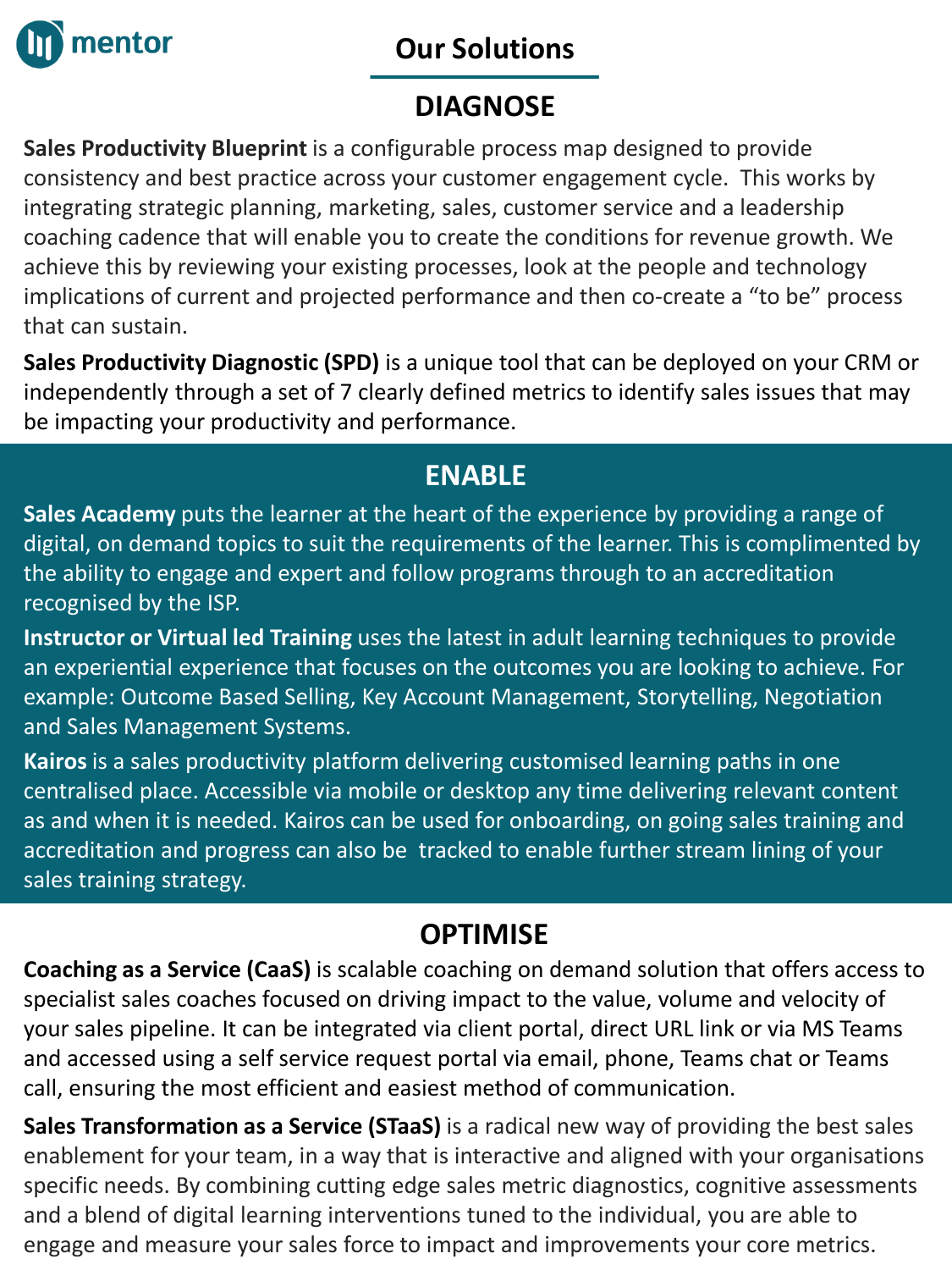

#### **Our Solutions**

## **DIAGNOSE**

**Sales Productivity Blueprint** is a configurable process map designed to provide consistency and best practice across your customer engagement cycle. This works by integrating strategic planning, marketing, sales, customer service and a leadership coaching cadence that will enable you to create the conditions for revenue growth. We achieve this by reviewing your existing processes, look at the people and technology implications of current and projected performance and then co-create a "to be" process that can sustain.

**Sales Productivity Diagnostic (SPD)** is a unique tool that can be deployed on your CRM or independently through a set of 7 clearly defined metrics to identify sales issues that may be impacting your productivity and performance.

#### **ENABLE**

**Sales Academy** puts the learner at the heart of the experience by providing a range of digital, on demand topics to suit the requirements of the learner. This is complimented by the ability to engage and expert and follow programs through to an accreditation recognised by the ISP.

**Instructor or Virtual led Training** uses the latest in adult learning techniques to provide an experiential experience that focuses on the outcomes you are looking to achieve. For example: Outcome Based Selling, Key Account Management, Storytelling, Negotiation and Sales Management Systems.

**Kairos**is a sales productivity platform delivering customised learning paths in one centralised place. Accessible via mobile or desktop any time delivering relevant content as and when it is needed. Kairos can be used for onboarding, on going sales training and accreditation and progress can also be tracked to enable further stream lining of your sales training strategy.

## **OPTIMISE**

**Coaching as a Service (CaaS)** is scalable coaching on demand solution that offers access to specialist sales coaches focused on driving impact to the value, volume and velocity of your sales pipeline. It can be integrated via client portal, direct URL link or via MS Teams and accessed using a self service request portal via email, phone, Teams chat or Teams call, ensuring the most efficient and easiest method of communication.

**Sales Transformation as a Service (STaaS)** is a radical new way of providing the best sales enablement for your team, in a way that is interactive and aligned with your organisations specific needs. By combining cutting edge sales metric diagnostics, cognitive assessments and a blend of digital learning interventions tuned to the individual, you are able to engage and measure your sales force to impact and improvements your core metrics.